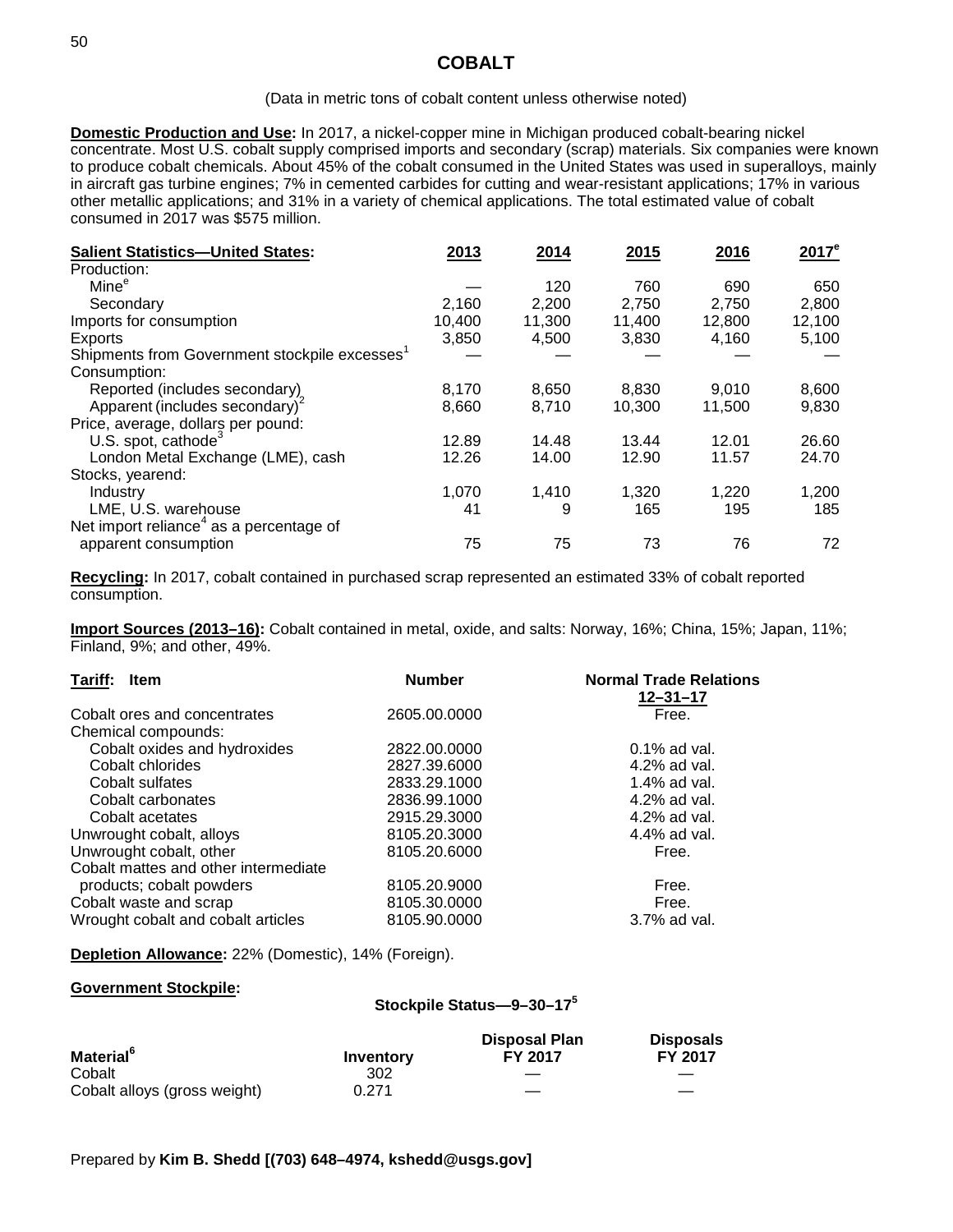# **COBALT**

#### (Data in metric tons of cobalt content unless otherwise noted)

**Domestic Production and Use:** In 2017, a nickel-copper mine in Michigan produced cobalt-bearing nickel concentrate. Most U.S. cobalt supply comprised imports and secondary (scrap) materials. Six companies were known to produce cobalt chemicals. About 45% of the cobalt consumed in the United States was used in superalloys, mainly in aircraft gas turbine engines; 7% in cemented carbides for cutting and wear-resistant applications; 17% in various other metallic applications; and 31% in a variety of chemical applications. The total estimated value of cobalt consumed in 2017 was \$575 million.

| <b>Salient Statistics-United States:</b>            | 2013   | 2014   | 2015   | 2016   | $2017^e$ |
|-----------------------------------------------------|--------|--------|--------|--------|----------|
| Production:                                         |        |        |        |        |          |
| Mine <sup>e</sup>                                   |        | 120    | 760    | 690    | 650      |
| Secondary                                           | 2,160  | 2,200  | 2,750  | 2,750  | 2,800    |
| Imports for consumption                             | 10,400 | 11,300 | 11,400 | 12,800 | 12,100   |
| Exports                                             | 3,850  | 4,500  | 3,830  | 4,160  | 5,100    |
| Shipments from Government stockpile excesses'       |        |        |        |        |          |
| Consumption:                                        |        |        |        |        |          |
| Reported (includes secondary)                       | 8,170  | 8,650  | 8,830  | 9,010  | 8,600    |
| Apparent (includes secondary) <sup>2</sup>          | 8,660  | 8,710  | 10,300 | 11,500 | 9,830    |
| Price, average, dollars per pound:                  |        |        |        |        |          |
| U.S. spot, cathode <sup>3</sup>                     | 12.89  | 14.48  | 13.44  | 12.01  | 26.60    |
| London Metal Exchange (LME), cash                   | 12.26  | 14.00  | 12.90  | 11.57  | 24.70    |
| Stocks, yearend:                                    |        |        |        |        |          |
| Industry                                            | 1,070  | 1,410  | 1,320  | 1,220  | 1,200    |
| LME, U.S. warehouse                                 | 41     | 9      | 165    | 195    | 185      |
| Net import reliance <sup>4</sup> as a percentage of |        |        |        |        |          |
| apparent consumption                                | 75     | 75     | 73     | 76     | 72       |

**Recycling:** In 2017, cobalt contained in purchased scrap represented an estimated 33% of cobalt reported consumption.

**Import Sources (2013–16):** Cobalt contained in metal, oxide, and salts: Norway, 16%; China, 15%; Japan, 11%; Finland, 9%; and other, 49%.

| Tariff:<br><b>Item</b>               | <b>Number</b> | <b>Normal Trade Relations</b><br>$12 - 31 - 17$ |
|--------------------------------------|---------------|-------------------------------------------------|
| Cobalt ores and concentrates         | 2605.00.0000  | Free.                                           |
| Chemical compounds:                  |               |                                                 |
| Cobalt oxides and hydroxides         | 2822.00.0000  | $0.1\%$ ad val.                                 |
| Cobalt chlorides                     | 2827.39.6000  | 4.2% ad val.                                    |
| Cobalt sulfates                      | 2833.29.1000  | 1.4% ad val.                                    |
| Cobalt carbonates                    | 2836.99.1000  | 4.2% ad val.                                    |
| Cobalt acetates                      | 2915.29.3000  | 4.2% ad val.                                    |
| Unwrought cobalt, alloys             | 8105.20.3000  | 4.4% ad val.                                    |
| Unwrought cobalt, other              | 8105.20.6000  | Free.                                           |
| Cobalt mattes and other intermediate |               |                                                 |
| products; cobalt powders             | 8105.20.9000  | Free.                                           |
| Cobalt waste and scrap               | 8105.30.0000  | Free.                                           |
| Wrought cobalt and cobalt articles   | 8105.90.0000  | 3.7% ad val.                                    |

**Depletion Allowance:** 22% (Domestic), 14% (Foreign).

#### **Government Stockpile:**

### **Stockpile Status—9–30–175**

| <b>Material</b> <sup>6</sup> | Inventory | <b>Disposal Plan</b><br>FY 2017 | <b>Disposals</b><br><b>FY 2017</b> |
|------------------------------|-----------|---------------------------------|------------------------------------|
| Cobalt                       | 302       |                                 |                                    |
| Cobalt alloys (gross weight) | 0.271     |                                 |                                    |